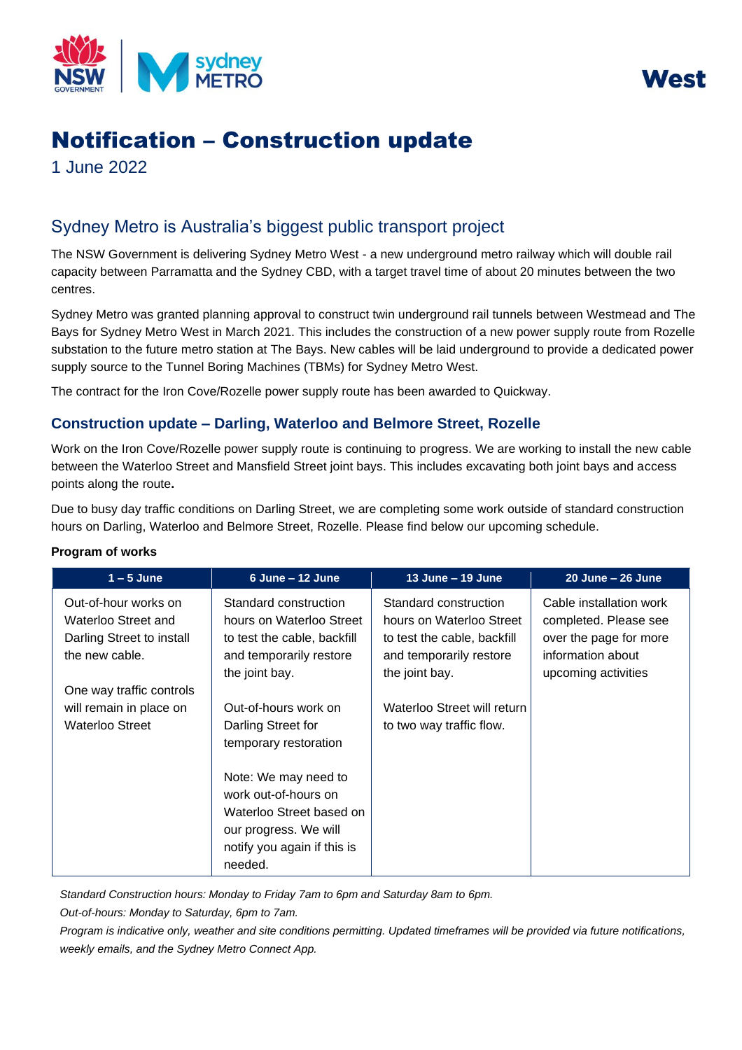



# Notification – Construction update

1 June 2022

## Sydney Metro is Australia's biggest public transport project

The NSW Government is delivering Sydney Metro West - a new underground metro railway which will double rail capacity between Parramatta and the Sydney CBD, with a target travel time of about 20 minutes between the two centres.

Sydney Metro was granted planning approval to construct twin underground rail tunnels between Westmead and The Bays for Sydney Metro West in March 2021. This includes the construction of a new power supply route from Rozelle substation to the future metro station at The Bays. New cables will be laid underground to provide a dedicated power supply source to the Tunnel Boring Machines (TBMs) for Sydney Metro West.

The contract for the Iron Cove/Rozelle power supply route has been awarded to Quickway.

### **Construction update – Darling, Waterloo and Belmore Street, Rozelle**

Work on the Iron Cove/Rozelle power supply route is continuing to progress. We are working to install the new cable between the Waterloo Street and Mansfield Street joint bays. This includes excavating both joint bays and access points along the route**.** 

Due to busy day traffic conditions on Darling Street, we are completing some work outside of standard construction hours on Darling, Waterloo and Belmore Street, Rozelle. Please find below our upcoming schedule.

| $1 - 5$ June                                                                               | 6 June - 12 June                                                                                                                            | 13 June - 19 June                                                                                                             | 20 June - 26 June                                                                                                      |
|--------------------------------------------------------------------------------------------|---------------------------------------------------------------------------------------------------------------------------------------------|-------------------------------------------------------------------------------------------------------------------------------|------------------------------------------------------------------------------------------------------------------------|
| Out-of-hour works on<br>Waterloo Street and<br>Darling Street to install<br>the new cable. | Standard construction<br>hours on Waterloo Street<br>to test the cable, backfill<br>and temporarily restore<br>the joint bay.               | Standard construction<br>hours on Waterloo Street<br>to test the cable, backfill<br>and temporarily restore<br>the joint bay. | Cable installation work<br>completed. Please see<br>over the page for more<br>information about<br>upcoming activities |
| One way traffic controls<br>will remain in place on<br>Waterloo Street                     | Out-of-hours work on<br>Darling Street for<br>temporary restoration                                                                         | Waterloo Street will return<br>to two way traffic flow.                                                                       |                                                                                                                        |
|                                                                                            | Note: We may need to<br>work out-of-hours on<br>Waterloo Street based on<br>our progress. We will<br>notify you again if this is<br>needed. |                                                                                                                               |                                                                                                                        |

*Standard Construction hours: Monday to Friday 7am to 6pm and Saturday 8am to 6pm.*

*Out-of-hours: Monday to Saturday, 6pm to 7am.*

*Program is indicative only, weather and site conditions permitting. Updated timeframes will be provided via future notifications, weekly emails, and the Sydney Metro Connect App.*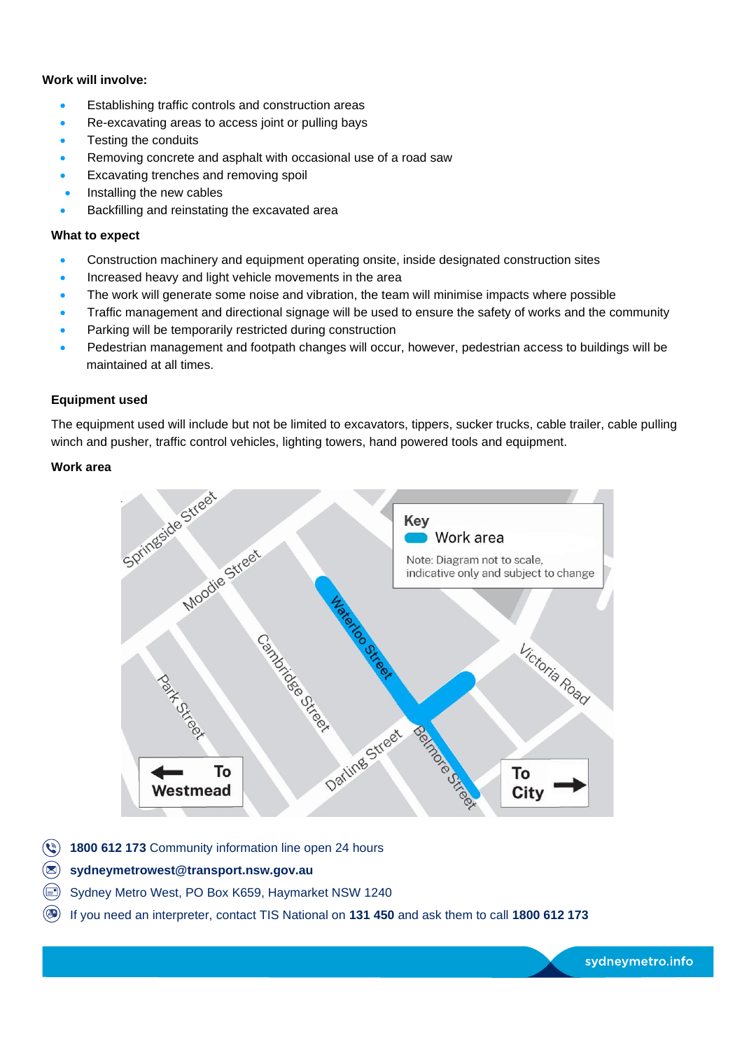#### **Work will involve:**

- Establishing traffic controls and construction areas
- Re-excavating areas to access joint or pulling bays
- Testing the conduits
- Removing concrete and asphalt with occasional use of a road saw
- Excavating trenches and removing spoil
- Installing the new cables
- Backfilling and reinstating the excavated area

#### **What to expect**

- Construction machinery and equipment operating onsite, inside designated construction sites
- Increased heavy and light vehicle movements in the area
- The work will generate some noise and vibration, the team will minimise impacts where possible
- Traffic management and directional signage will be used to ensure the safety of works and the community
- Parking will be temporarily restricted during construction
- Pedestrian management and footpath changes will occur, however, pedestrian access to buildings will be maintained at all times.

#### **Equipment used**

The equipment used will include but not be limited to excavators, tippers, sucker trucks, cable trailer, cable pulling winch and pusher, traffic control vehicles, lighting towers, hand powered tools and equipment.

#### **Work area**



- **(4) 1800 612 173 Community information line open 24 hours**
- **[sydneymetrowest@transport.nsw.gov.au](mailto:sydneymetrowest@transport.nsw.gov.au)**
- Sydney Metro West, PO Box K659, Haymarket NSW 1240
- If you need an interpreter, contact TIS National on **131 450** and ask them to call **1800 612 173**